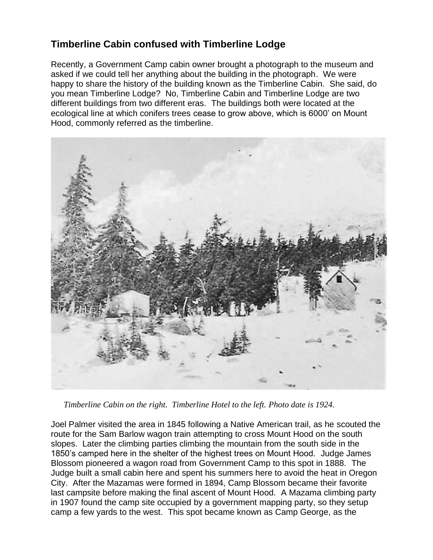## **Timberline Cabin confused with Timberline Lodge**

Recently, a Government Camp cabin owner brought a photograph to the museum and asked if we could tell her anything about the building in the photograph. We were happy to share the history of the building known as the Timberline Cabin. She said, do you mean Timberline Lodge? No, Timberline Cabin and Timberline Lodge are two different buildings from two different eras. The buildings both were located at the ecological line at which conifers trees cease to grow above, which is 6000' on Mount Hood, commonly referred as the timberline.



*Timberline Cabin on the right. Timberline Hotel to the left. Photo date is 1924.*

Joel Palmer visited the area in 1845 following a Native American trail, as he scouted the route for the Sam Barlow wagon train attempting to cross Mount Hood on the south slopes. Later the climbing parties climbing the mountain from the south side in the 1850's camped here in the shelter of the highest trees on Mount Hood. Judge James Blossom pioneered a wagon road from Government Camp to this spot in 1888. The Judge built a small cabin here and spent his summers here to avoid the heat in Oregon City. After the Mazamas were formed in 1894, Camp Blossom became their favorite last campsite before making the final ascent of Mount Hood. A Mazama climbing party in 1907 found the camp site occupied by a government mapping party, so they setup camp a few yards to the west. This spot became known as Camp George, as the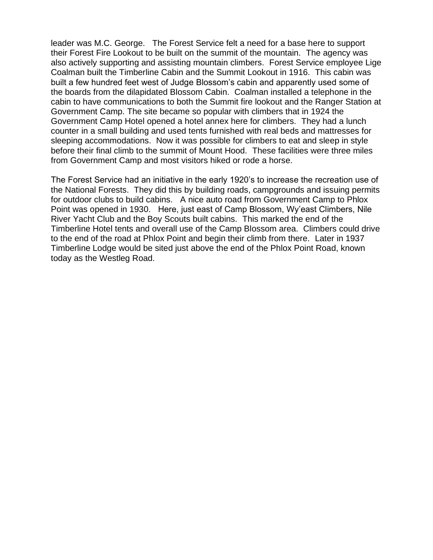leader was M.C. George. The Forest Service felt a need for a base here to support their Forest Fire Lookout to be built on the summit of the mountain. The agency was also actively supporting and assisting mountain climbers. Forest Service employee Lige Coalman built the Timberline Cabin and the Summit Lookout in 1916. This cabin was built a few hundred feet west of Judge Blossom's cabin and apparently used some of the boards from the dilapidated Blossom Cabin. Coalman installed a telephone in the cabin to have communications to both the Summit fire lookout and the Ranger Station at Government Camp. The site became so popular with climbers that in 1924 the Government Camp Hotel opened a hotel annex here for climbers. They had a lunch counter in a small building and used tents furnished with real beds and mattresses for sleeping accommodations. Now it was possible for climbers to eat and sleep in style before their final climb to the summit of Mount Hood. These facilities were three miles from Government Camp and most visitors hiked or rode a horse.

The Forest Service had an initiative in the early 1920's to increase the recreation use of the National Forests. They did this by building roads, campgrounds and issuing permits for outdoor clubs to build cabins. A nice auto road from Government Camp to Phlox Point was opened in 1930. Here, just east of Camp Blossom, Wy'east Climbers, Nile River Yacht Club and the Boy Scouts built cabins. This marked the end of the Timberline Hotel tents and overall use of the Camp Blossom area. Climbers could drive to the end of the road at Phlox Point and begin their climb from there. Later in 1937 Timberline Lodge would be sited just above the end of the Phlox Point Road, known today as the Westleg Road.